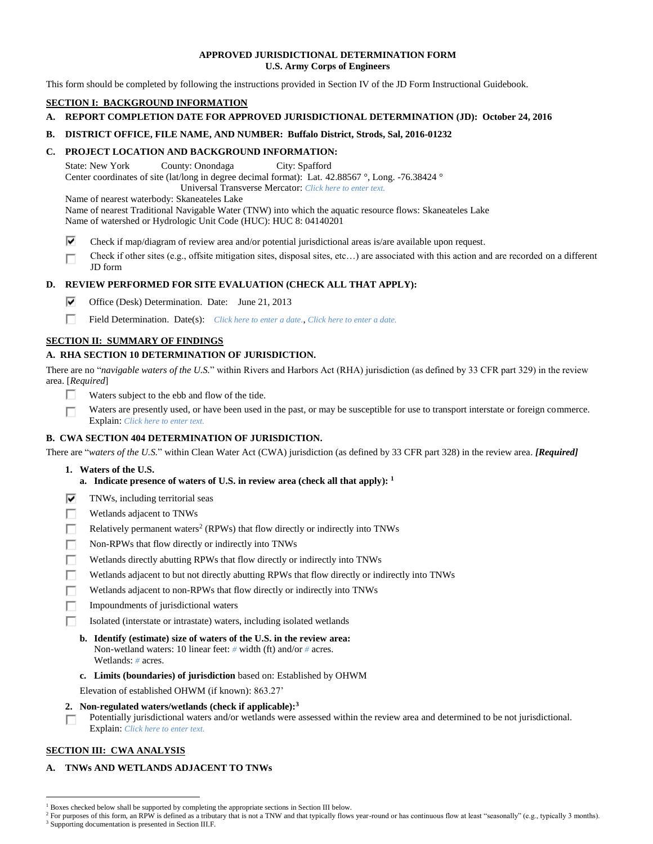## **APPROVED JURISDICTIONAL DETERMINATION FORM U.S. Army Corps of Engineers**

This form should be completed by following the instructions provided in Section IV of the JD Form Instructional Guidebook.

# **SECTION I: BACKGROUND INFORMATION**

# **A. REPORT COMPLETION DATE FOR APPROVED JURISDICTIONAL DETERMINATION (JD): October 24, 2016**

# **B. DISTRICT OFFICE, FILE NAME, AND NUMBER: Buffalo District, Strods, Sal, 2016-01232**

# **C. PROJECT LOCATION AND BACKGROUND INFORMATION:**

State: New York County: Onondaga City: Spafford Center coordinates of site (lat/long in degree decimal format): Lat. 42.88567 °, Long. -76.38424 ° Universal Transverse Mercator: *Click here to enter text.*

Name of nearest waterbody: Skaneateles Lake

Name of nearest Traditional Navigable Water (TNW) into which the aquatic resource flows: Skaneateles Lake

Name of watershed or Hydrologic Unit Code (HUC): HUC 8: 04140201

⊽ Check if map/diagram of review area and/or potential jurisdictional areas is/are available upon request.

Check if other sites (e.g., offsite mitigation sites, disposal sites, etc…) are associated with this action and are recorded on a different г JD form

# **D. REVIEW PERFORMED FOR SITE EVALUATION (CHECK ALL THAT APPLY):**

- ⊽⊹ Office (Desk) Determination. Date: June 21, 2013
- П. Field Determination. Date(s): *Click here to enter a date.*, *Click here to enter a date.*

# **SECTION II: SUMMARY OF FINDINGS**

# **A. RHA SECTION 10 DETERMINATION OF JURISDICTION.**

There are no "*navigable waters of the U.S.*" within Rivers and Harbors Act (RHA) jurisdiction (as defined by 33 CFR part 329) in the review area. [*Required*]

- П Waters subject to the ebb and flow of the tide.
- Waters are presently used, or have been used in the past, or may be susceptible for use to transport interstate or foreign commerce. п Explain: *Click here to enter text.*

# **B. CWA SECTION 404 DETERMINATION OF JURISDICTION.**

There are "*waters of the U.S.*" within Clean Water Act (CWA) jurisdiction (as defined by 33 CFR part 328) in the review area. *[Required]*

- **1. Waters of the U.S.**
	- **a. Indicate presence of waters of U.S. in review area (check all that apply): 1**
- ⊽ TNWs, including territorial seas
- п Wetlands adjacent to TNWs
- Relatively permanent waters<sup>2</sup> (RPWs) that flow directly or indirectly into TNWs п
- п Non-RPWs that flow directly or indirectly into TNWs
- Wetlands directly abutting RPWs that flow directly or indirectly into TNWs п
- Wetlands adjacent to but not directly abutting RPWs that flow directly or indirectly into TNWs г
- Wetlands adjacent to non-RPWs that flow directly or indirectly into TNWs
- П. Impoundments of jurisdictional waters
- Isolated (interstate or intrastate) waters, including isolated wetlands п
	- **b. Identify (estimate) size of waters of the U.S. in the review area:** Non-wetland waters: 10 linear feet: *#* width (ft) and/or *#* acres. Wetlands: *#* acres.
	- **c. Limits (boundaries) of jurisdiction** based on: Established by OHWM

Elevation of established OHWM (if known): 863.27'

- **2. Non-regulated waters/wetlands (check if applicable): 3**
- Potentially jurisdictional waters and/or wetlands were assessed within the review area and determined to be not jurisdictional. п Explain: *Click here to enter text.*

# **SECTION III: CWA ANALYSIS**

 $\overline{a}$ 

# **A. TNWs AND WETLANDS ADJACENT TO TNWs**

<sup>&</sup>lt;sup>1</sup> Boxes checked below shall be supported by completing the appropriate sections in Section III below.

<sup>&</sup>lt;sup>2</sup> For purposes of this form, an RPW is defined as a tributary that is not a TNW and that typically flows year-round or has continuous flow at least "seasonally" (e.g., typically 3 months). <sup>3</sup> Supporting documentation is presented in Section III.F.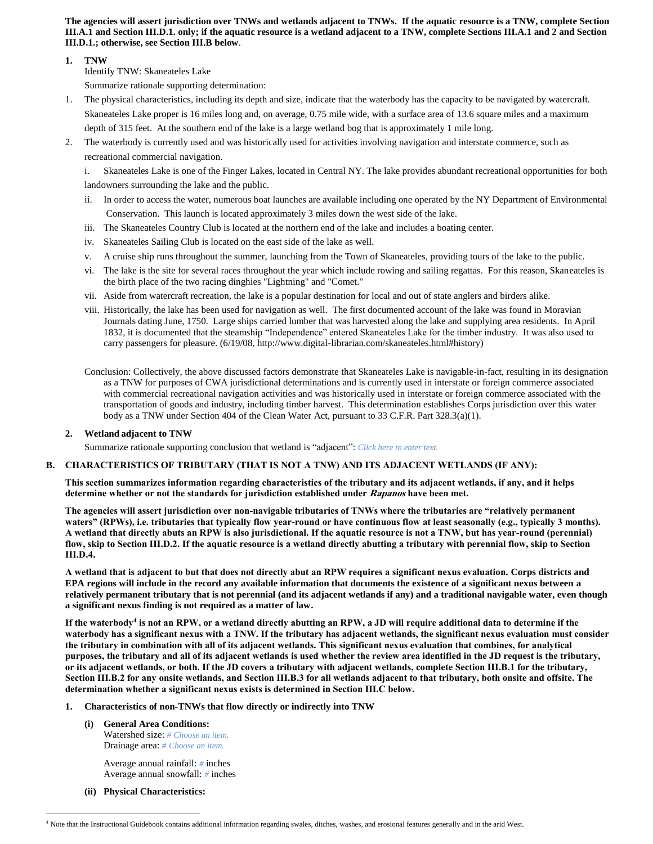**The agencies will assert jurisdiction over TNWs and wetlands adjacent to TNWs. If the aquatic resource is a TNW, complete Section III.A.1 and Section III.D.1. only; if the aquatic resource is a wetland adjacent to a TNW, complete Sections III.A.1 and 2 and Section III.D.1.; otherwise, see Section III.B below**.

## **1. TNW**

Identify TNW: Skaneateles Lake

Summarize rationale supporting determination:

- 1. The physical characteristics, including its depth and size, indicate that the waterbody has the capacity to be navigated by watercraft. Skaneateles Lake proper is 16 miles long and, on average, 0.75 mile wide, with a surface area of 13.6 square miles and a maximum depth of 315 feet. At the southern end of the lake is a large wetland bog that is approximately 1 mile long.
- 2. The waterbody is currently used and was historically used for activities involving navigation and interstate commerce, such as recreational commercial navigation.

i. Skaneateles Lake is one of the Finger Lakes, located in Central NY. The lake provides abundant recreational opportunities for both landowners surrounding the lake and the public.

- ii. In order to access the water, numerous boat launches are available including one operated by the NY Department of Environmental Conservation. This launch is located approximately 3 miles down the west side of the lake.
- iii. The Skaneateles Country Club is located at the northern end of the lake and includes a boating center.
- iv. Skaneateles Sailing Club is located on the east side of the lake as well.
- v. A cruise ship runs throughout the summer, launching from the Town of Skaneateles, providing tours of the lake to the public.
- vi. The lake is the site for several races throughout the year which include rowing and sailing regattas. For this reason, Skaneateles is the birth place of the two racing dinghies "Lightning" and "Comet."
- vii. Aside from watercraft recreation, the lake is a popular destination for local and out of state anglers and birders alike.
- viii. Historically, the lake has been used for navigation as well. The first documented account of the lake was found in Moravian Journals dating June, 1750. Large ships carried lumber that was harvested along the lake and supplying area residents. In April 1832, it is documented that the steamship "Independence" entered Skaneateles Lake for the timber industry. It was also used to carry passengers for pleasure. (6/19/08, http://www.digital-librarian.com/skaneateles.html#history)
- Conclusion: Collectively, the above discussed factors demonstrate that Skaneateles Lake is navigable-in-fact, resulting in its designation as a TNW for purposes of CWA jurisdictional determinations and is currently used in interstate or foreign commerce associated with commercial recreational navigation activities and was historically used in interstate or foreign commerce associated with the transportation of goods and industry, including timber harvest. This determination establishes Corps jurisdiction over this water body as a TNW under Section 404 of the Clean Water Act, pursuant to 33 C.F.R. Part 328.3(a)(1).

# **2. Wetland adjacent to TNW**

Summarize rationale supporting conclusion that wetland is "adjacent": *Click here to enter text.*

# **B. CHARACTERISTICS OF TRIBUTARY (THAT IS NOT A TNW) AND ITS ADJACENT WETLANDS (IF ANY):**

**This section summarizes information regarding characteristics of the tributary and its adjacent wetlands, if any, and it helps determine whether or not the standards for jurisdiction established under Rapanos have been met.** 

**The agencies will assert jurisdiction over non-navigable tributaries of TNWs where the tributaries are "relatively permanent waters" (RPWs), i.e. tributaries that typically flow year-round or have continuous flow at least seasonally (e.g., typically 3 months). A wetland that directly abuts an RPW is also jurisdictional. If the aquatic resource is not a TNW, but has year-round (perennial) flow, skip to Section III.D.2. If the aquatic resource is a wetland directly abutting a tributary with perennial flow, skip to Section III.D.4.**

**A wetland that is adjacent to but that does not directly abut an RPW requires a significant nexus evaluation. Corps districts and EPA regions will include in the record any available information that documents the existence of a significant nexus between a relatively permanent tributary that is not perennial (and its adjacent wetlands if any) and a traditional navigable water, even though a significant nexus finding is not required as a matter of law.**

**If the waterbody<sup>4</sup> is not an RPW, or a wetland directly abutting an RPW, a JD will require additional data to determine if the waterbody has a significant nexus with a TNW. If the tributary has adjacent wetlands, the significant nexus evaluation must consider the tributary in combination with all of its adjacent wetlands. This significant nexus evaluation that combines, for analytical purposes, the tributary and all of its adjacent wetlands is used whether the review area identified in the JD request is the tributary, or its adjacent wetlands, or both. If the JD covers a tributary with adjacent wetlands, complete Section III.B.1 for the tributary, Section III.B.2 for any onsite wetlands, and Section III.B.3 for all wetlands adjacent to that tributary, both onsite and offsite. The determination whether a significant nexus exists is determined in Section III.C below.**

# **1. Characteristics of non-TNWs that flow directly or indirectly into TNW**

**(i) General Area Conditions:** Watershed size: *# Choose an item.* Drainage area: *# Choose an item.*

> Average annual rainfall: *#* inches Average annual snowfall: *#* inches

**(ii) Physical Characteristics:**

 $\overline{a}$ 

<sup>4</sup> Note that the Instructional Guidebook contains additional information regarding swales, ditches, washes, and erosional features generally and in the arid West.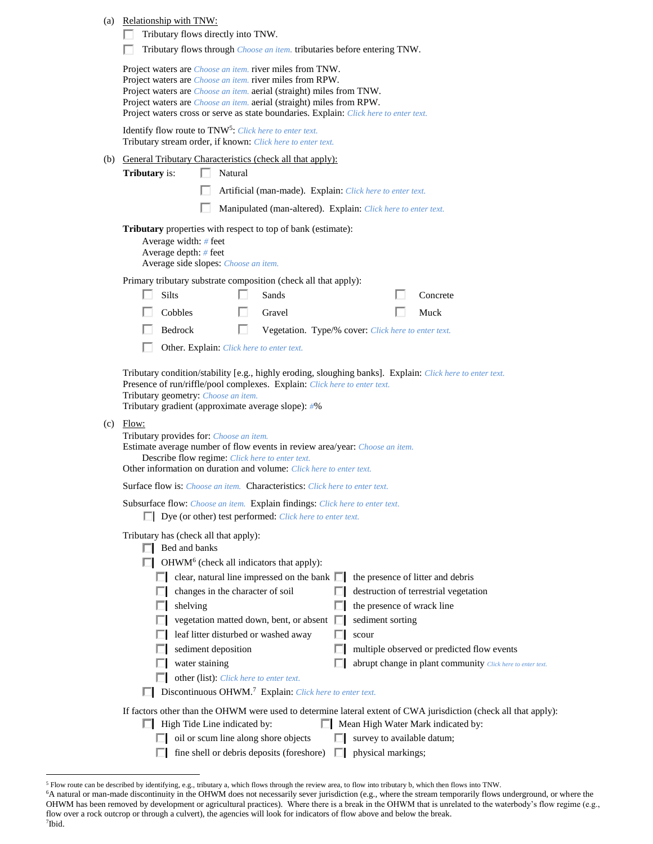|     | (a) Relationship with TNW:<br>Tributary flows directly into TNW.                                                                                                                                                                                                                                                                                                                                                                                                                                                                                                                                                                                    |  |  |  |  |
|-----|-----------------------------------------------------------------------------------------------------------------------------------------------------------------------------------------------------------------------------------------------------------------------------------------------------------------------------------------------------------------------------------------------------------------------------------------------------------------------------------------------------------------------------------------------------------------------------------------------------------------------------------------------------|--|--|--|--|
|     | Tributary flows through <i>Choose an item</i> . tributaries before entering TNW.                                                                                                                                                                                                                                                                                                                                                                                                                                                                                                                                                                    |  |  |  |  |
|     | Project waters are <i>Choose an item</i> . river miles from TNW.<br>Project waters are <i>Choose an item</i> . river miles from RPW.<br>Project waters are <i>Choose an item.</i> aerial (straight) miles from TNW.<br>Project waters are <i>Choose an item.</i> aerial (straight) miles from RPW.<br>Project waters cross or serve as state boundaries. Explain: Click here to enter text.                                                                                                                                                                                                                                                         |  |  |  |  |
|     | Identify flow route to TNW <sup>5</sup> : Click here to enter text.<br>Tributary stream order, if known: Click here to enter text.                                                                                                                                                                                                                                                                                                                                                                                                                                                                                                                  |  |  |  |  |
| (b) | <b>General Tributary Characteristics (check all that apply):</b>                                                                                                                                                                                                                                                                                                                                                                                                                                                                                                                                                                                    |  |  |  |  |
|     | <b>Tributary</b> is:<br>Natural                                                                                                                                                                                                                                                                                                                                                                                                                                                                                                                                                                                                                     |  |  |  |  |
|     | Artificial (man-made). Explain: Click here to enter text.                                                                                                                                                                                                                                                                                                                                                                                                                                                                                                                                                                                           |  |  |  |  |
|     | Manipulated (man-altered). Explain: Click here to enter text.                                                                                                                                                                                                                                                                                                                                                                                                                                                                                                                                                                                       |  |  |  |  |
|     | Tributary properties with respect to top of bank (estimate):<br>Average width: # feet<br>Average depth: # feet<br>Average side slopes: Choose an item.                                                                                                                                                                                                                                                                                                                                                                                                                                                                                              |  |  |  |  |
|     | Primary tributary substrate composition (check all that apply):                                                                                                                                                                                                                                                                                                                                                                                                                                                                                                                                                                                     |  |  |  |  |
|     | Silts<br>Sands<br>Concrete                                                                                                                                                                                                                                                                                                                                                                                                                                                                                                                                                                                                                          |  |  |  |  |
|     | Cobbles<br>Gravel<br>Muck<br>U                                                                                                                                                                                                                                                                                                                                                                                                                                                                                                                                                                                                                      |  |  |  |  |
|     | Bedrock<br>П<br>Vegetation. Type/% cover: Click here to enter text.                                                                                                                                                                                                                                                                                                                                                                                                                                                                                                                                                                                 |  |  |  |  |
|     | Other. Explain: Click here to enter text.                                                                                                                                                                                                                                                                                                                                                                                                                                                                                                                                                                                                           |  |  |  |  |
|     | Tributary condition/stability [e.g., highly eroding, sloughing banks]. Explain: Click here to enter text.<br>Presence of run/riffle/pool complexes. Explain: Click here to enter text.<br>Tributary geometry: Choose an item.<br>Tributary gradient (approximate average slope): #%                                                                                                                                                                                                                                                                                                                                                                 |  |  |  |  |
|     | $(c)$ Flow:<br>Tributary provides for: Choose an item.<br>Estimate average number of flow events in review area/year: Choose an item.<br>Describe flow regime: Click here to enter text.<br>Other information on duration and volume: Click here to enter text.                                                                                                                                                                                                                                                                                                                                                                                     |  |  |  |  |
|     | Surface flow is: Choose an item. Characteristics: Click here to enter text.                                                                                                                                                                                                                                                                                                                                                                                                                                                                                                                                                                         |  |  |  |  |
|     | Subsurface flow: Choose an item. Explain findings: Click here to enter text.<br>$\Box$ Dye (or other) test performed: <i>Click here to enter text</i> .                                                                                                                                                                                                                                                                                                                                                                                                                                                                                             |  |  |  |  |
|     | Tributary has (check all that apply):<br>Bed and banks<br>OHWM <sup>6</sup> (check all indicators that apply):<br>clear, natural line impressed on the bank $\Box$<br>the presence of litter and debris<br>changes in the character of soil<br>destruction of terrestrial vegetation<br>the presence of wrack line<br>shelving<br>vegetation matted down, bent, or absent<br>sediment sorting<br>ш<br>leaf litter disturbed or washed away<br>scour<br>sediment deposition<br>multiple observed or predicted flow events<br>water staining<br>abrupt change in plant community Click here to enter text.<br>other (list): Click here to enter text. |  |  |  |  |
|     | Discontinuous OHWM. <sup>7</sup> Explain: Click here to enter text.                                                                                                                                                                                                                                                                                                                                                                                                                                                                                                                                                                                 |  |  |  |  |
|     | If factors other than the OHWM were used to determine lateral extent of CWA jurisdiction (check all that apply):<br>$\Box$ High Tide Line indicated by:<br>Mean High Water Mark indicated by:<br>oil or scum line along shore objects<br>survey to available datum;<br>fine shell or debris deposits (foreshore)<br>physical markings;                                                                                                                                                                                                                                                                                                              |  |  |  |  |
|     |                                                                                                                                                                                                                                                                                                                                                                                                                                                                                                                                                                                                                                                     |  |  |  |  |

 $\overline{a}$ 

 $<sup>5</sup>$  Flow route can be described by identifying, e.g., tributary a, which flows through the review area, to flow into tributary b, which then flows into TNW.</sup>

<sup>&</sup>lt;sup>6</sup>A natural or man-made discontinuity in the OHWM does not necessarily sever jurisdiction (e.g., where the stream temporarily flows underground, or where the OHWM has been removed by development or agricultural practices). Where there is a break in the OHWM that is unrelated to the waterbody's flow regime (e.g., flow over a rock outcrop or through a culvert), the agencies will look for indicators of flow above and below the break. 7 Ibid.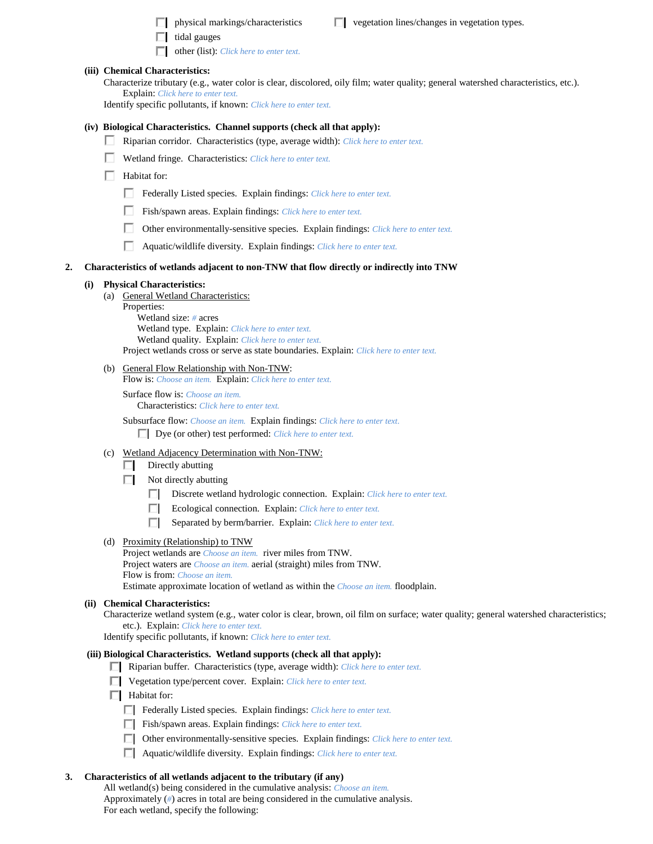- $\Box$  physical markings/characteristics  $\Box$  vegetation lines/changes in vegetation types.
- $\Box$  tidal gauges
- other (list): *Click here to enter text.*

## **(iii) Chemical Characteristics:**

Characterize tributary (e.g., water color is clear, discolored, oily film; water quality; general watershed characteristics, etc.). Explain: *Click here to enter text.*

Identify specific pollutants, if known: *Click here to enter text.*

## **(iv) Biological Characteristics. Channel supports (check all that apply):**

- Riparian corridor. Characteristics (type, average width): *Click here to enter text.*
- Wetland fringe. Characteristics: *Click here to enter text.*
- $\Box$  Habitat for:
	- Federally Listed species. Explain findings: *Click here to enter text.*
	- Fish/spawn areas. Explain findings: *Click here to enter text.*
	- Other environmentally-sensitive species. Explain findings: *Click here to enter text.*
	- Aquatic/wildlife diversity. Explain findings: *Click here to enter text.*

#### **2. Characteristics of wetlands adjacent to non-TNW that flow directly or indirectly into TNW**

#### **(i) Physical Characteristics:**

- (a) General Wetland Characteristics: Properties: Wetland size: *#* acres Wetland type. Explain: *Click here to enter text.*
	- Wetland quality. Explain: *Click here to enter text.* Project wetlands cross or serve as state boundaries. Explain: *Click here to enter text.*
- (b) General Flow Relationship with Non-TNW:

Flow is: *Choose an item.* Explain: *Click here to enter text.*

Surface flow is: *Choose an item.* Characteristics: *Click here to enter text.*

Subsurface flow: *Choose an item.* Explain findings: *Click here to enter text.* Dye (or other) test performed: *Click here to enter text.*

## (c) Wetland Adjacency Determination with Non-TNW:

- $\Box$  Directly abutting
- $\Box$  Not directly abutting
	- Discrete wetland hydrologic connection. Explain: *Click here to enter text.*
	- Ecological connection. Explain: *Click here to enter text.* П.
	- Separated by berm/barrier. Explain: *Click here to enter text.*

#### (d) Proximity (Relationship) to TNW

Project wetlands are *Choose an item.* river miles from TNW. Project waters are *Choose an item.* aerial (straight) miles from TNW. Flow is from: *Choose an item.*

Estimate approximate location of wetland as within the *Choose an item.* floodplain.

## **(ii) Chemical Characteristics:**

Characterize wetland system (e.g., water color is clear, brown, oil film on surface; water quality; general watershed characteristics; etc.). Explain: *Click here to enter text.*

Identify specific pollutants, if known: *Click here to enter text.*

### **(iii) Biological Characteristics. Wetland supports (check all that apply):**

- Riparian buffer. Characteristics (type, average width): *Click here to enter text.*
- Vegetation type/percent cover. Explain: *Click here to enter text.*
- $\Box$  Habitat for:
	- Federally Listed species. Explain findings: *Click here to enter text*.
	- Fish/spawn areas. Explain findings: *Click here to enter text*.
	- Other environmentally-sensitive species. Explain findings: *Click here to enter text.*
	- Aquatic/wildlife diversity. Explain findings: *Click here to enter text.*

#### **3. Characteristics of all wetlands adjacent to the tributary (if any)**

All wetland(s) being considered in the cumulative analysis: *Choose an item.* Approximately (*#*) acres in total are being considered in the cumulative analysis. For each wetland, specify the following: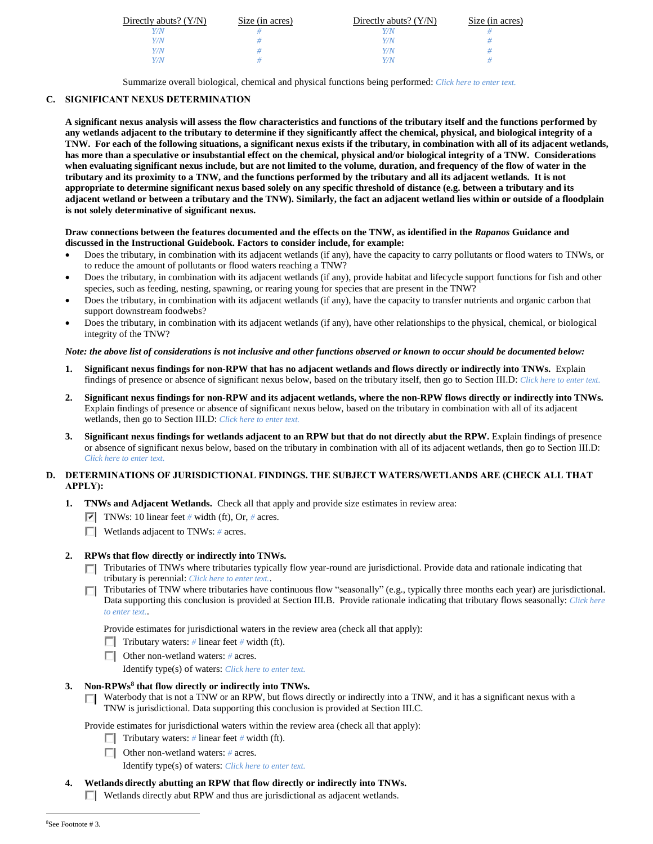| Directly abuts? $(Y/N)$ | Size (in acres) | Directly abuts? $(Y/N)$ | Size (in acres) |
|-------------------------|-----------------|-------------------------|-----------------|
|                         |                 |                         |                 |
| Y/N                     |                 | V/N                     |                 |
| Y/N                     |                 | <i>V/N</i>              |                 |
|                         |                 | V/M                     |                 |

Summarize overall biological, chemical and physical functions being performed: *Click here to enter text.*

# **C. SIGNIFICANT NEXUS DETERMINATION**

**A significant nexus analysis will assess the flow characteristics and functions of the tributary itself and the functions performed by any wetlands adjacent to the tributary to determine if they significantly affect the chemical, physical, and biological integrity of a TNW. For each of the following situations, a significant nexus exists if the tributary, in combination with all of its adjacent wetlands, has more than a speculative or insubstantial effect on the chemical, physical and/or biological integrity of a TNW. Considerations when evaluating significant nexus include, but are not limited to the volume, duration, and frequency of the flow of water in the tributary and its proximity to a TNW, and the functions performed by the tributary and all its adjacent wetlands. It is not appropriate to determine significant nexus based solely on any specific threshold of distance (e.g. between a tributary and its adjacent wetland or between a tributary and the TNW). Similarly, the fact an adjacent wetland lies within or outside of a floodplain is not solely determinative of significant nexus.** 

## **Draw connections between the features documented and the effects on the TNW, as identified in the** *Rapanos* **Guidance and discussed in the Instructional Guidebook. Factors to consider include, for example:**

- Does the tributary, in combination with its adjacent wetlands (if any), have the capacity to carry pollutants or flood waters to TNWs, or to reduce the amount of pollutants or flood waters reaching a TNW?
- Does the tributary, in combination with its adjacent wetlands (if any), provide habitat and lifecycle support functions for fish and other species, such as feeding, nesting, spawning, or rearing young for species that are present in the TNW?
- Does the tributary, in combination with its adjacent wetlands (if any), have the capacity to transfer nutrients and organic carbon that support downstream foodwebs?
- Does the tributary, in combination with its adjacent wetlands (if any), have other relationships to the physical, chemical, or biological integrity of the TNW?

# *Note: the above list of considerations is not inclusive and other functions observed or known to occur should be documented below:*

- **1. Significant nexus findings for non-RPW that has no adjacent wetlands and flows directly or indirectly into TNWs.** Explain findings of presence or absence of significant nexus below, based on the tributary itself, then go to Section III.D: *Click here to enter text.*
- **2. Significant nexus findings for non-RPW and its adjacent wetlands, where the non-RPW flows directly or indirectly into TNWs.**  Explain findings of presence or absence of significant nexus below, based on the tributary in combination with all of its adjacent wetlands, then go to Section III.D: *Click here to enter text.*
- **3. Significant nexus findings for wetlands adjacent to an RPW but that do not directly abut the RPW.** Explain findings of presence or absence of significant nexus below, based on the tributary in combination with all of its adjacent wetlands, then go to Section III.D: *Click here to enter text.*

# **D. DETERMINATIONS OF JURISDICTIONAL FINDINGS. THE SUBJECT WATERS/WETLANDS ARE (CHECK ALL THAT APPLY):**

- **1. TNWs and Adjacent Wetlands.** Check all that apply and provide size estimates in review area:
	- $\overline{\triangledown}$  TNWs: 10 linear feet # width (ft), Or, # acres.
	- Wetlands adjacent to TNWs: *#* acres.

# **2. RPWs that flow directly or indirectly into TNWs.**

- Tributaries of TNWs where tributaries typically flow year-round are jurisdictional. Provide data and rationale indicating that tributary is perennial: *Click here to enter text.*.
- Tributaries of TNW where tributaries have continuous flow "seasonally" (e.g., typically three months each year) are jurisdictional. Data supporting this conclusion is provided at Section III.B. Provide rationale indicating that tributary flows seasonally: *Click here to enter text.*.

Provide estimates for jurisdictional waters in the review area (check all that apply):

- **Tributary waters:** # linear feet # width (ft).
- Other non-wetland waters: *#* acres.

Identify type(s) of waters: *Click here to enter text.*

# **3. Non-RPWs<sup>8</sup> that flow directly or indirectly into TNWs.**

□ Waterbody that is not a TNW or an RPW, but flows directly or indirectly into a TNW, and it has a significant nexus with a TNW is jurisdictional. Data supporting this conclusion is provided at Section III.C.

Provide estimates for jurisdictional waters within the review area (check all that apply):

- Tributary waters:  $\#$  linear feet  $\#$  width (ft).
- Other non-wetland waters: *#* acres.

Identify type(s) of waters: *Click here to enter text.*

**4. Wetlands directly abutting an RPW that flow directly or indirectly into TNWs.**  $\Box$  Wetlands directly abut RPW and thus are jurisdictional as adjacent wetlands.

 $\overline{a}$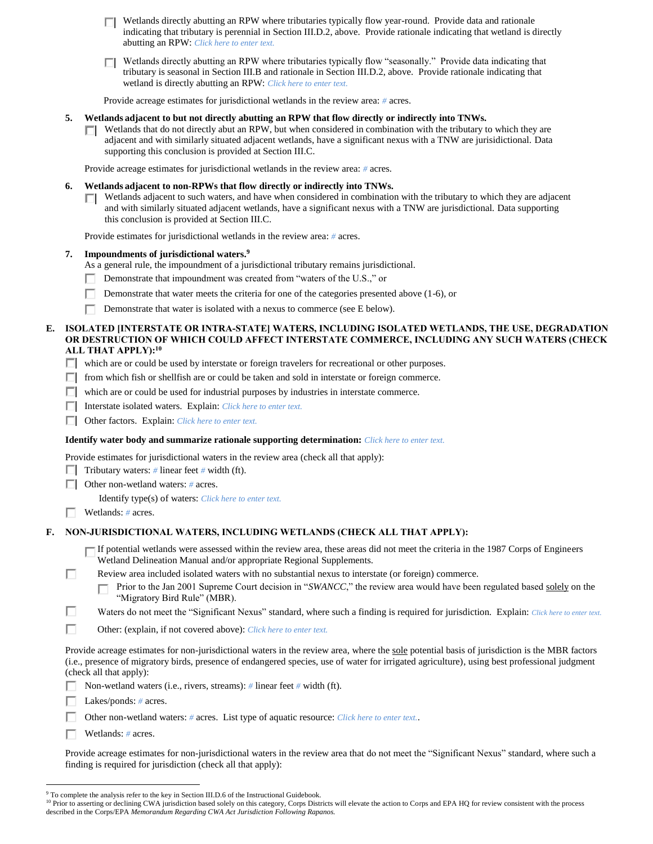Wetlands directly abutting an RPW where tributaries typically flow year-round. Provide data and rationale П. indicating that tributary is perennial in Section III.D.2, above. Provide rationale indicating that wetland is directly abutting an RPW: *Click here to enter text.*

Wetlands directly abutting an RPW where tributaries typically flow "seasonally." Provide data indicating that п tributary is seasonal in Section III.B and rationale in Section III.D.2, above. Provide rationale indicating that wetland is directly abutting an RPW: *Click here to enter text.*

Provide acreage estimates for jurisdictional wetlands in the review area: *#* acres.

# **5. Wetlands adjacent to but not directly abutting an RPW that flow directly or indirectly into TNWs.**

Wetlands that do not directly abut an RPW, but when considered in combination with the tributary to which they are П. adjacent and with similarly situated adjacent wetlands, have a significant nexus with a TNW are jurisidictional. Data supporting this conclusion is provided at Section III.C.

Provide acreage estimates for jurisdictional wetlands in the review area: *#* acres.

- **6. Wetlands adjacent to non-RPWs that flow directly or indirectly into TNWs.** 
	- Wetlands adjacent to such waters, and have when considered in combination with the tributary to which they are adjacent and with similarly situated adjacent wetlands, have a significant nexus with a TNW are jurisdictional. Data supporting this conclusion is provided at Section III.C.

Provide estimates for jurisdictional wetlands in the review area: *#* acres.

## **7. Impoundments of jurisdictional waters. 9**

As a general rule, the impoundment of a jurisdictional tributary remains jurisdictional.

- Demonstrate that impoundment was created from "waters of the U.S.," or п.
- Demonstrate that water meets the criteria for one of the categories presented above (1-6), or
- Demonstrate that water is isolated with a nexus to commerce (see E below).

## **E. ISOLATED [INTERSTATE OR INTRA-STATE] WATERS, INCLUDING ISOLATED WETLANDS, THE USE, DEGRADATION OR DESTRUCTION OF WHICH COULD AFFECT INTERSTATE COMMERCE, INCLUDING ANY SUCH WATERS (CHECK ALL THAT APPLY):<sup>10</sup>**

 $\Box$  which are or could be used by interstate or foreign travelers for recreational or other purposes.

- $\Box$  from which fish or shellfish are or could be taken and sold in interstate or foreign commerce.
- $\Box$  which are or could be used for industrial purposes by industries in interstate commerce.
- Interstate isolated waters.Explain: *Click here to enter text.*
- Other factors.Explain: *Click here to enter text.*

## **Identify water body and summarize rationale supporting determination:** *Click here to enter text.*

Provide estimates for jurisdictional waters in the review area (check all that apply):

**Tributary waters:** # linear feet # width (ft).

Other non-wetland waters: *#* acres.

Identify type(s) of waters: *Click here to enter text.*

Wetlands: *#* acres.

п

# **F. NON-JURISDICTIONAL WATERS, INCLUDING WETLANDS (CHECK ALL THAT APPLY):**

If potential wetlands were assessed within the review area, these areas did not meet the criteria in the 1987 Corps of Engineers Wetland Delineation Manual and/or appropriate Regional Supplements.

- Review area included isolated waters with no substantial nexus to interstate (or foreign) commerce.
	- Prior to the Jan 2001 Supreme Court decision in "*SWANCC*," the review area would have been regulated based solely on the п "Migratory Bird Rule" (MBR).
- п Waters do not meet the "Significant Nexus" standard, where such a finding is required for jurisdiction. Explain: *Click here to enter text.*
- П Other: (explain, if not covered above): *Click here to enter text.*

Provide acreage estimates for non-jurisdictional waters in the review area, where the sole potential basis of jurisdiction is the MBR factors (i.e., presence of migratory birds, presence of endangered species, use of water for irrigated agriculture), using best professional judgment (check all that apply):

- Non-wetland waters (i.e., rivers, streams): *#* linear feet *#* width (ft).
- Lakes/ponds: *#* acres.
- Other non-wetland waters: *#* acres. List type of aquatic resource: *Click here to enter text.*.
- Wetlands: *#* acres.

 $\overline{a}$ 

Provide acreage estimates for non-jurisdictional waters in the review area that do not meet the "Significant Nexus" standard, where such a finding is required for jurisdiction (check all that apply):

<sup>&</sup>lt;sup>9</sup> To complete the analysis refer to the key in Section III.D.6 of the Instructional Guidebook.

<sup>&</sup>lt;sup>10</sup> Prior to asserting or declining CWA jurisdiction based solely on this category, Corps Districts will elevate the action to Corps and EPA HQ for review consistent with the process described in the Corps/EPA *Memorandum Regarding CWA Act Jurisdiction Following Rapanos.*